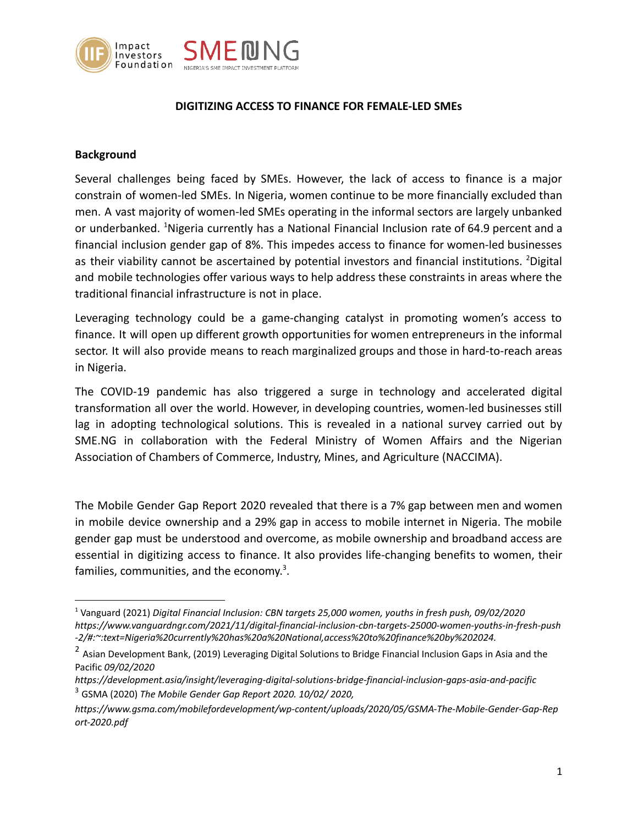

# **DIGITIZING ACCESS TO FINANCE FOR FEMALE-LED SMEs**

# **Background**

Several challenges being faced by SMEs. However, the lack of access to finance is a major constrain of women-led SMEs. In Nigeria, women continue to be more financially excluded than men. A vast majority of women-led SMEs operating in the informal sectors are largely unbanked or underbanked. <sup>1</sup>Nigeria currently has a National Financial Inclusion rate of 64.9 percent and a financial inclusion gender gap of 8%. This impedes access to finance for women-led businesses as their viability cannot be ascertained by potential investors and financial institutions. <sup>2</sup>Digital and mobile technologies offer various ways to help address these constraints in areas where the traditional financial infrastructure is not in place.

Leveraging technology could be a game-changing catalyst in promoting women's access to finance. It will open up different growth opportunities for women entrepreneurs in the informal sector. It will also provide means to reach marginalized groups and those in hard-to-reach areas in Nigeria.

The COVID-19 pandemic has also triggered a surge in technology and accelerated digital transformation all over the world. However, in developing countries, women-led businesses still lag in adopting technological solutions. This is revealed in a national survey carried out by SME.NG in collaboration with the Federal Ministry of Women Affairs and the Nigerian Association of Chambers of Commerce, Industry, Mines, and Agriculture (NACCIMA).

The Mobile Gender Gap Report 2020 revealed that there is a 7% gap between men and women in mobile device ownership and a 29% gap in access to mobile internet in Nigeria. The mobile gender gap must be understood and overcome, as mobile ownership and broadband access are essential in digitizing access to finance. It also provides life-changing benefits to women, their families, communities, and the economy.<sup>3</sup>.

<sup>1</sup> Vanguard (2021) *Digital Financial Inclusion: CBN targets 25,000 women, youths in fresh push, 09/02/2020 https://www.vanguardngr.com/2021/11/digital-financial-inclusion-cbn-targets-25000-women-youths-in-fresh-push -2/#:~:text=Nigeria%20currently%20has%20a%20National,access%20to%20finance%20by%202024.*

<sup>&</sup>lt;sup>2</sup> Asian Development Bank, (2019) Leveraging Digital Solutions to Bridge Financial Inclusion Gaps in Asia and the Pacific *09/02/2020*

<sup>3</sup> GSMA (2020) *The Mobile Gender Gap Report 2020. 10/02/ 2020, https://development.asia/insight/leveraging-digital-solutions-bridge-financial-inclusion-gaps-asia-and-pacific*

*https://www.gsma.com/mobilefordevelopment/wp-content/uploads/2020/05/GSMA-The-Mobile-Gender-Gap-Rep ort-2020.pdf*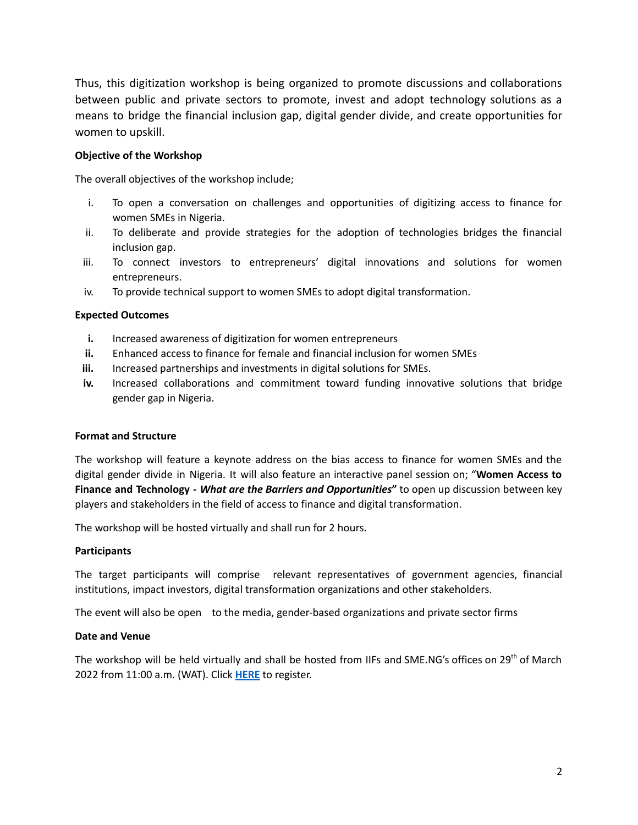Thus, this digitization workshop is being organized to promote discussions and collaborations between public and private sectors to promote, invest and adopt technology solutions as a means to bridge the financial inclusion gap, digital gender divide, and create opportunities for women to upskill.

## **Objective of the Workshop**

The overall objectives of the workshop include;

- i. To open a conversation on challenges and opportunities of digitizing access to finance for women SMEs in Nigeria.
- ii. To deliberate and provide strategies for the adoption of technologies bridges the financial inclusion gap.
- iii. To connect investors to entrepreneurs' digital innovations and solutions for women entrepreneurs.
- iv. To provide technical support to women SMEs to adopt digital transformation.

### **Expected Outcomes**

- **i.** Increased awareness of digitization for women entrepreneurs
- **ii.** Enhanced access to finance for female and financial inclusion for women SMEs
- **iii.** Increased partnerships and investments in digital solutions for SMEs.
- iv. Increased collaborations and commitment toward funding innovative solutions that bridge gender gap in Nigeria.

#### **Format and Structure**

The workshop will feature a keynote address on the bias access to finance for women SMEs and the digital gender divide in Nigeria. It will also feature an interactive panel session on; "**Women Access to Finance and Technology -** *What are the Barriers and Opportunities***"** to open up discussion between key players and stakeholders in the field of access to finance and digital transformation.

The workshop will be hosted virtually and shall run for 2 hours.

#### **Participants**

The target participants will comprise relevant representatives of government agencies, financial institutions, impact investors, digital transformation organizations and other stakeholders.

The event will also be open to the media, gender-based organizations and private sector firms

#### **Date and Venue**

The workshop will be held virtually and shall be hosted from IIFs and SME.NG's offices on 29<sup>th</sup> of March 2022 from 11:00 a.m. (WAT). Click **[HERE](https://us02web.zoom.us/meeting/register/tZEuf--opjwsE9OkZxpJMxoFcxHeVrxJjWII)** to register.